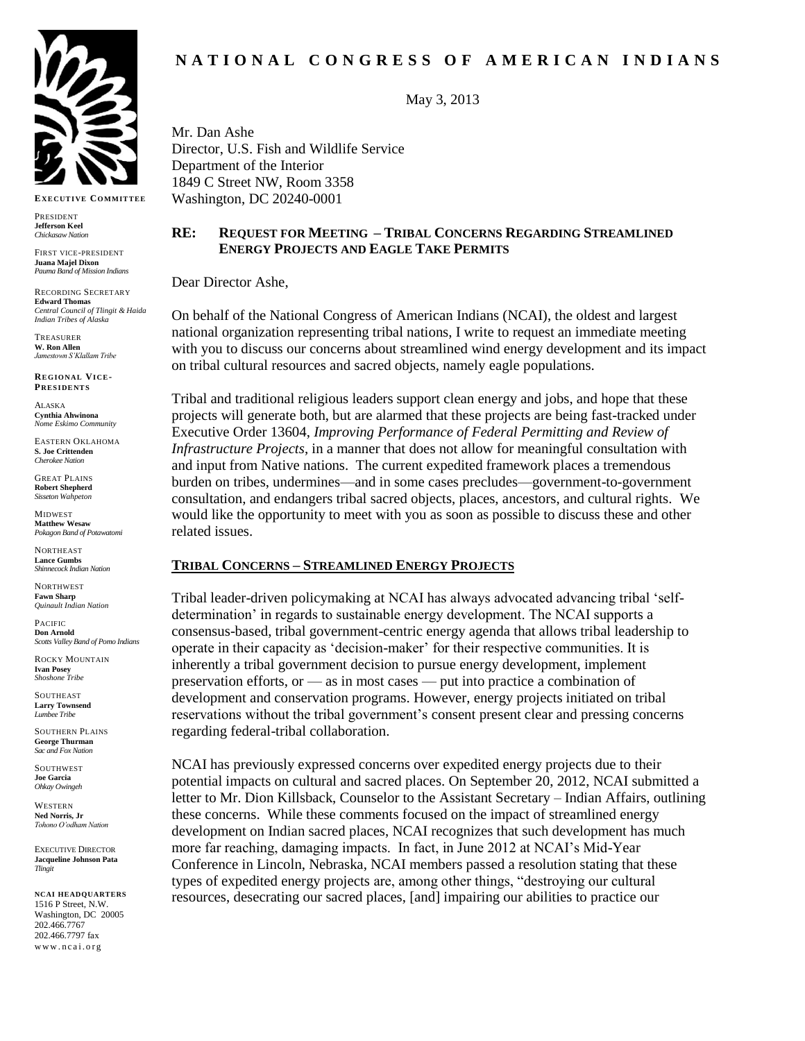

**EX E C UT I VE CO MMIT TE E**

PRESIDENT **Jefferson Keel** *Chickasaw Nation*

FIRST VICE-PRESIDENT **Juana Majel Dixon** *Pauma Band of Mission Indians* 

RECORDING SECRETARY **Edward Thomas** *Central Council of Tlingit & Haida Indian Tribes of Alaska*

TREASURER **W. Ron Allen** *Jamestown S'Klallam Tribe*

**RE G IO N AL VI C E-PRESIDENTS** 

ALASKA **Cynthia Ahwinona** *Nome Eskimo Community*

EASTERN OKLAHOMA **S. Joe Crittenden** *Cherokee Nation*

GREAT PLAINS **Robert Shepherd** *Sisseton Wahpeton*

MIDWEST **Matthew Wesaw** *Pokagon Band of Potawatomi*

NORTHEAST **Lance Gumbs** *Shinnecock Indian Nation*

**NORTHWEST Fawn Sharp** *Quinault Indian Nation*

PACIFIC **Don Arnold** *Scotts Valley Band of Pomo Indians*

ROCKY MOUNTAIN **Ivan Posey** *Shoshone Tribe*

**SOUTHEAST Larry Townsend** *Lumbee Tribe*

SOUTHERN PLAINS **George Thurman** *Sac and Fox Nation*

SOUTHWEST **Joe Garcia** *Ohkay Owingeh*

WESTERN **Ned Norris, Jr** *Tohono O'odham Nation*

EXECUTIVE DIRECTOR **Jacqueline Johnson Pata** *Tlingit*

**NCAI HEADQUARTERS** 1516 P Street, N.W. Washington, DC 20005 202.466.7767 202.466.7797 fax www.ncai.org

May 3, 2013

Mr. Dan Ashe Director, U.S. Fish and Wildlife Service Department of the Interior 1849 C Street NW, Room 3358 Washington, DC 20240-0001

## **RE: REQUEST FOR MEETING – TRIBAL CONCERNS REGARDING STREAMLINED ENERGY PROJECTS AND EAGLE TAKE PERMITS**

Dear Director Ashe,

On behalf of the National Congress of American Indians (NCAI), the oldest and largest national organization representing tribal nations, I write to request an immediate meeting with you to discuss our concerns about streamlined wind energy development and its impact on tribal cultural resources and sacred objects, namely eagle populations.

Tribal and traditional religious leaders support clean energy and jobs, and hope that these projects will generate both, but are alarmed that these projects are being fast-tracked under Executive Order 13604, *Improving Performance of Federal Permitting and Review of Infrastructure Projects*, in a manner that does not allow for meaningful consultation with and input from Native nations. The current expedited framework places a tremendous burden on tribes, undermines—and in some cases precludes—government-to-government consultation, and endangers tribal sacred objects, places, ancestors, and cultural rights. We would like the opportunity to meet with you as soon as possible to discuss these and other related issues.

## **TRIBAL CONCERNS – STREAMLINED ENERGY PROJECTS**

Tribal leader-driven policymaking at NCAI has always advocated advancing tribal 'selfdetermination' in regards to sustainable energy development. The NCAI supports a consensus-based, tribal government-centric energy agenda that allows tribal leadership to operate in their capacity as 'decision-maker' for their respective communities. It is inherently a tribal government decision to pursue energy development, implement preservation efforts, or — as in most cases — put into practice a combination of development and conservation programs. However, energy projects initiated on tribal reservations without the tribal government's consent present clear and pressing concerns regarding federal-tribal collaboration.

NCAI has previously expressed concerns over expedited energy projects due to their potential impacts on cultural and sacred places. On September 20, 2012, NCAI submitted a letter to Mr. Dion Killsback, Counselor to the Assistant Secretary – Indian Affairs, outlining these concerns. While these comments focused on the impact of streamlined energy development on Indian sacred places, NCAI recognizes that such development has much more far reaching, damaging impacts. In fact, in June 2012 at NCAI's Mid-Year Conference in Lincoln, Nebraska, NCAI members passed a resolution stating that these types of expedited energy projects are, among other things, "destroying our cultural resources, desecrating our sacred places, [and] impairing our abilities to practice our